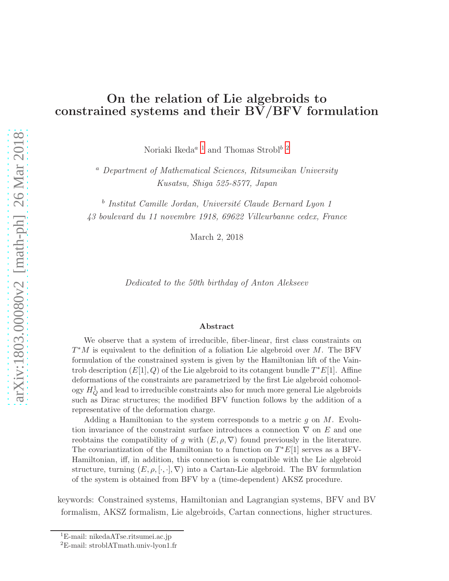## On the relation of Lie algebroids to constrained systems and their BV/BFV formulation

Noriaki Ikeda $^a$   $^1$  $^1$  and Thomas Strobl $^b$   $^2$  $^2$ 

<sup>a</sup> Department of Mathematical Sciences, Ritsumeikan University Kusatsu, Shiga 525-8577, Japan

<sup>b</sup> Institut Camille Jordan, Université Claude Bernard Lyon 1 43 boulevard du 11 novembre 1918, 69622 Villeurbanne cedex, France

March 2, 2018

Dedicated to the 50th birthday of Anton Alekseev

#### Abstract

We observe that a system of irreducible, fiber-linear, first class constraints on  $T^*M$  is equivalent to the definition of a foliation Lie algebroid over M. The BFV formulation of the constrained system is given by the Hamiltonian lift of the Vaintrob description  $(E[1], Q)$  of the Lie algebroid to its cotangent bundle  $T^*E[1]$ . Affine deformations of the constraints are parametrized by the first Lie algebroid cohomology  $H_Q^1$  and lead to irreducible constraints also for much more general Lie algebroids such as Dirac structures; the modified BFV function follows by the addition of a representative of the deformation charge.

Adding a Hamiltonian to the system corresponds to a metric  $g$  on  $M$ . Evolution invariance of the constraint surface introduces a connection  $\nabla$  on E and one reobtains the compatibility of g with  $(E, \rho, \nabla)$  found previously in the literature. The covariantization of the Hamiltonian to a function on  $T^*E[1]$  serves as a BFV-Hamiltonian, iff, in addition, this connection is compatible with the Lie algebroid structure, turning  $(E, \rho, [\cdot, \cdot], \nabla)$  into a Cartan-Lie algebroid. The BV formulation of the system is obtained from BFV by a (time-dependent) AKSZ procedure.

keywords: Constrained systems, Hamiltonian and Lagrangian systems, BFV and BV formalism, AKSZ formalism, Lie algebroids, Cartan connections, higher structures.

<sup>1</sup>E-mail: nikedaATse.ritsumei.ac.jp

<span id="page-0-1"></span><span id="page-0-0"></span><sup>2</sup>E-mail: stroblATmath.univ-lyon1.fr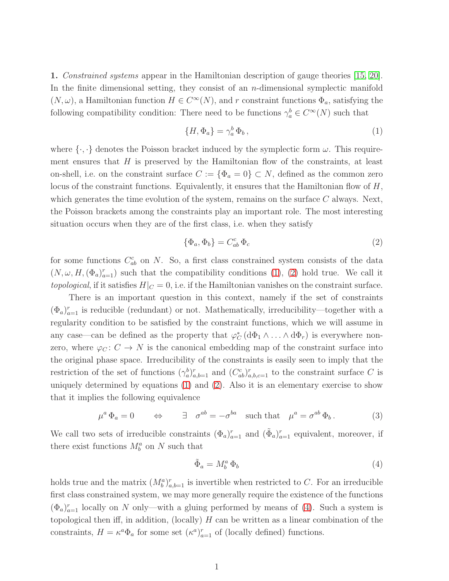1. Constrained systems appear in the Hamiltonian description of gauge theories [\[15,](#page-13-0) [20\]](#page-13-1). In the finite dimensional setting, they consist of an  $n$ -dimensional symplectic manifold  $(N, \omega)$ , a Hamiltonian function  $H \in C^{\infty}(N)$ , and r constraint functions  $\Phi_a$ , satisfying the following compatibility condition: There need to be functions  $\gamma_a^b \in C^{\infty}(N)$  such that

<span id="page-1-0"></span>
$$
\{H, \Phi_a\} = \gamma_a^b \Phi_b \,, \tag{1}
$$

where  $\{\cdot,\cdot\}$  denotes the Poisson bracket induced by the symplectic form  $\omega$ . This requirement ensures that  $H$  is preserved by the Hamiltonian flow of the constraints, at least on-shell, i.e. on the constraint surface  $C := {\Phi_a = 0} \subset N$ , defined as the common zero locus of the constraint functions. Equivalently, it ensures that the Hamiltonian flow of  $H$ , which generates the time evolution of the system, remains on the surface  $C$  always. Next, the Poisson brackets among the constraints play an important role. The most interesting situation occurs when they are of the first class, i.e. when they satisfy

<span id="page-1-1"></span>
$$
\{\Phi_a, \Phi_b\} = C^c_{ab} \Phi_c \tag{2}
$$

for some functions  $C_{ab}^c$  on N. So, a first class constrained system consists of the data  $(N, \omega, H, (\Phi_a)_{a=1}^r)$  such that the compatibility conditions [\(1\)](#page-1-0), [\(2\)](#page-1-1) hold true. We call it topological, if it satisfies  $H|_C = 0$ , i.e. if the Hamiltonian vanishes on the constraint surface.

There is an important question in this context, namely if the set of constraints  $(\Phi_a)_{a=1}^r$  is reducible (redundant) or not. Mathematically, irreducibility—together with a regularity condition to be satisfied by the constraint functions, which we will assume in any case—can be defined as the property that  $\varphi_C^*$  ( $d\Phi_1 \wedge \ldots \wedge d\Phi_r$ ) is everywhere nonzero, where  $\varphi_C: C \to N$  is the canonical embedding map of the constraint surface into the original phase space. Irreducibility of the constraints is easily seen to imply that the restriction of the set of functions  $(\gamma_a^b)_{a,b=1}^r$  and  $(C_{ab}^c)_{a,b,c=1}^r$  to the constraint surface C is uniquely determined by equations [\(1\)](#page-1-0) and [\(2\)](#page-1-1). Also it is an elementary exercise to show that it implies the following equivalence

<span id="page-1-3"></span>
$$
\mu^a \Phi_a = 0 \qquad \Leftrightarrow \qquad \exists \quad \sigma^{ab} = -\sigma^{ba} \quad \text{such that} \quad \mu^a = \sigma^{ab} \Phi_b \,. \tag{3}
$$

We call two sets of irreducible constraints  $(\Phi_a)_{a=1}^r$  and  $(\tilde{\Phi}_a)_{a=1}^r$  equivalent, moreover, if there exist functions  $M_b^a$  on N such that

<span id="page-1-2"></span>
$$
\tilde{\Phi}_a = M_b^a \, \Phi_b \tag{4}
$$

holds true and the matrix  $(M_b^a)_{a,b=1}^r$  is invertible when restricted to C. For an irreducible first class constrained system, we may more generally require the existence of the functions  $(\Phi_a)_{a=1}^r$  locally on N only—with a gluing performed by means of [\(4\)](#page-1-2). Such a system is topological then iff, in addition, (locally)  $H$  can be written as a linear combination of the constraints,  $H = \kappa^a \Phi_a$  for some set  $(\kappa^a)_{a=1}^r$  of (locally defined) functions.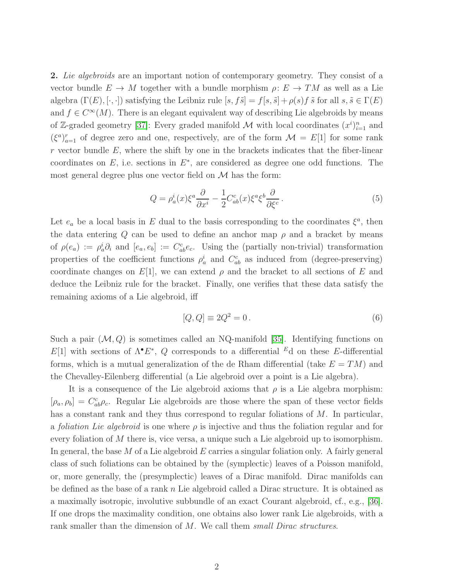2. Lie algebroids are an important notion of contemporary geometry. They consist of a vector bundle  $E \to M$  together with a bundle morphism  $\rho: E \to TM$  as well as a Lie algebra  $(\Gamma(E), [\cdot, \cdot])$  satisfying the Leibniz rule  $[s, f\tilde{s}] = f[s, \tilde{s}] + \rho(s)f \tilde{s}$  for all  $s, \tilde{s} \in \Gamma(E)$ and  $f \in C^{\infty}(M)$ . There is an elegant equivalent way of describing Lie algebroids by means of Z-graded geometry [\[37\]](#page-14-0): Every graded manifold M with local coordinates  $(x^i)_{i=1}^n$  and  $(\xi^a)_{a=1}^r$  of degree zero and one, respectively, are of the form  $\mathcal{M} = E[1]$  for some rank  $r$  vector bundle  $E$ , where the shift by one in the brackets indicates that the fiber-linear coordinates on  $E$ , i.e. sections in  $E^*$ , are considered as degree one odd functions. The most general degree plus one vector field on  $\mathcal M$  has the form:

<span id="page-2-0"></span>
$$
Q = \rho_a^i(x)\xi^a \frac{\partial}{\partial x^i} - \frac{1}{2} C_{ab}^c(x)\xi^a \xi^b \frac{\partial}{\partial \xi^c}.
$$
 (5)

Let  $e_a$  be a local basis in E dual to the basis corresponding to the coordinates  $\xi^a$ , then the data entering Q can be used to define an anchor map  $\rho$  and a bracket by means of  $\rho(e_a) := \rho_a^i \partial_i$  and  $[e_a, e_b] := C_{ab}^c e_c$ . Using the (partially non-trivial) transformation properties of the coefficient functions  $\rho_a^i$  and  $C_{ab}^c$  as induced from (degree-preserving) coordinate changes on  $E[1]$ , we can extend  $\rho$  and the bracket to all sections of E and deduce the Leibniz rule for the bracket. Finally, one verifies that these data satisfy the remaining axioms of a Lie algebroid, iff

<span id="page-2-1"></span>
$$
[Q, Q] \equiv 2Q^2 = 0. \tag{6}
$$

Such a pair  $(M, Q)$  is sometimes called an NQ-manifold [\[35\]](#page-14-1). Identifying functions on  $E[1]$  with sections of  $\Lambda^{\bullet}E^*$ , Q corresponds to a differential  $^E$ d on these E-differential forms, which is a mutual generalization of the de Rham differential (take  $E = TM$ ) and the Chevalley-Eilenberg differential (a Lie algebroid over a point is a Lie algebra).

It is a consequence of the Lie algebroid axioms that  $\rho$  is a Lie algebra morphism:  $[\rho_a, \rho_b] = C_{ab}^c \rho_c$ . Regular Lie algebroids are those where the span of these vector fields has a constant rank and they thus correspond to regular foliations of M. In particular, a *foliation Lie algebroid* is one where  $\rho$  is injective and thus the foliation regular and for every foliation of M there is, vice versa, a unique such a Lie algebroid up to isomorphism. In general, the base M of a Lie algebroid E carries a singular foliation only. A fairly general class of such foliations can be obtained by the (symplectic) leaves of a Poisson manifold, or, more generally, the (presymplectic) leaves of a Dirac manifold. Dirac manifolds can be defined as the base of a rank n Lie algebroid called a Dirac structure. It is obtained as a maximally isotropic, involutive subbundle of an exact Courant algebroid, cf., e.g., [\[36\]](#page-14-2). If one drops the maximality condition, one obtains also lower rank Lie algebroids, with a rank smaller than the dimension of M. We call them *small Dirac structures*.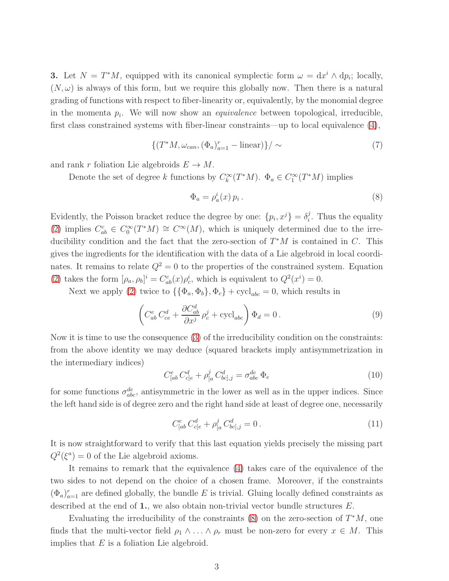**3.** Let  $N = T^*M$ , equipped with its canonical symplectic form  $\omega = dx^i \wedge dp_i$ ; locally,  $(N, \omega)$  is always of this form, but we require this globally now. Then there is a natural grading of functions with respect to fiber-linearity or, equivalently, by the monomial degree in the momenta  $p_i$ . We will now show an *equivalence* between topological, irreducible, first class constrained systems with fiber-linear constraints—up to local equivalence [\(4\)](#page-1-2),

<span id="page-3-1"></span>
$$
\{(T^*M, \omega_{can}, (\Phi_a)_{a=1}^r - \text{linear})\}/\sim\tag{7}
$$

and rank r foliation Lie algebroids  $E \to M$ .

Denote the set of degree k functions by  $C_k^{\infty}(T^*M)$ .  $\Phi_a \in C_1^{\infty}(T^*M)$  implies

<span id="page-3-0"></span>
$$
\Phi_a = \rho_a^i(x) \, p_i \,. \tag{8}
$$

Evidently, the Poisson bracket reduce the degree by one:  $\{p_i, x^j\} = \delta_i^j$  $i<sup>j</sup>$ . Thus the equality [\(2\)](#page-1-1) implies  $C_{ab}^c \in C_0^{\infty}(T^*M) \cong C^{\infty}(M)$ , which is uniquely determined due to the irreducibility condition and the fact that the zero-section of  $T^*M$  is contained in C. This gives the ingredients for the identification with the data of a Lie algebroid in local coordinates. It remains to relate  $Q^2 = 0$  to the properties of the constrained system. Equation [\(2\)](#page-1-1) takes the form  $[\rho_a, \rho_b]^i = C_{ab}^c(x)\rho_c^i$ , which is equivalent to  $Q^2(x^i) = 0$ .

Next we apply [\(2\)](#page-1-1) twice to  $\{\{\Phi_a, \Phi_b\}, \Phi_c\} + \text{cycl}_{abc} = 0$ , which results in

$$
\left(C_{ab}^e C_{ce}^d + \frac{\partial C_{ab}^d}{\partial x^j} \rho_c^j + \text{cycl}_{abc}\right) \Phi_d = 0.
$$
\n(9)

Now it is time to use the consequence [\(3\)](#page-1-3) of the irreducibility condition on the constraints: from the above identity we may deduce (squared brackets imply antisymmetrization in the intermediary indices)

$$
C_{[ab}^e C_{c]e}^d + \rho_{[a}^j C_{bc],j}^d = \sigma_{abc}^{de} \Phi_e
$$
 (10)

for some functions  $\sigma_{abc}^{de}$ , antisymmetric in the lower as well as in the upper indices. Since the left hand side is of degree zero and the right hand side at least of degree one, necessarily

<span id="page-3-2"></span>
$$
C_{[ab}^e C_{c]e}^d + \rho_{[a}^j C_{bc],j}^d = 0.
$$
\n(11)

It is now straightforward to verify that this last equation yields precisely the missing part  $Q^2(\xi^a) = 0$  of the Lie algebroid axioms.

It remains to remark that the equivalence [\(4\)](#page-1-2) takes care of the equivalence of the two sides to not depend on the choice of a chosen frame. Moreover, if the constraints  $(\Phi_a)_{a=1}^r$  are defined globally, the bundle E is trivial. Gluing locally defined constraints as described at the end of  $1$ , we also obtain non-trivial vector bundle structures  $E$ .

Evaluating the irreducibility of the constraints  $(8)$  on the zero-section of  $T^*M$ , one finds that the multi-vector field  $\rho_1 \wedge \ldots \wedge \rho_r$  must be non-zero for every  $x \in M$ . This implies that  $E$  is a foliation Lie algebroid.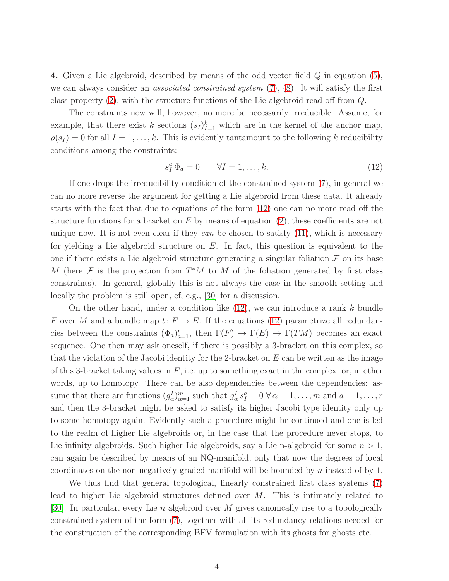4. Given a Lie algebroid, described by means of the odd vector field Q in equation [\(5\)](#page-2-0), we can always consider an *associated constrained system*  $(7)$ ,  $(8)$ . It will satisfy the first class property [\(2\)](#page-1-1), with the structure functions of the Lie algebroid read off from Q.

The constraints now will, however, no more be necessarily irreducible. Assume, for example, that there exist k sections  $(s_I)_{I=1}^k$  which are in the kernel of the anchor map,  $\rho(s_I) = 0$  for all  $I = 1, \ldots, k$ . This is evidently tantamount to the following k reducibility conditions among the constraints:

<span id="page-4-0"></span>
$$
s_I^a \Phi_a = 0 \qquad \forall I = 1, \dots, k. \tag{12}
$$

If one drops the irreducibility condition of the constrained system [\(7\)](#page-3-1), in general we can no more reverse the argument for getting a Lie algebroid from these data. It already starts with the fact that due to equations of the form [\(12\)](#page-4-0) one can no more read off the structure functions for a bracket on  $E$  by means of equation [\(2\)](#page-1-1), these coefficients are not unique now. It is not even clear if they can be chosen to satisfy  $(11)$ , which is necessary for yielding a Lie algebroid structure on  $E$ . In fact, this question is equivalent to the one if there exists a Lie algebroid structure generating a singular foliation  $\mathcal F$  on its base M (here  $\mathcal F$  is the projection from  $T^*M$  to M of the foliation generated by first class constraints). In general, globally this is not always the case in the smooth setting and locally the problem is still open, cf, e.g., [\[30\]](#page-14-3) for a discussion.

On the other hand, under a condition like  $(12)$ , we can introduce a rank k bundle F over M and a bundle map  $t: F \to E$ . If the equations [\(12\)](#page-4-0) parametrize all redundancies between the constraints  $(\Phi_a)_{a=1}^r$ , then  $\Gamma(F) \to \Gamma(E) \to \Gamma(TM)$  becomes an exact sequence. One then may ask oneself, if there is possibly a 3-bracket on this complex, so that the violation of the Jacobi identity for the 2-bracket on  $E$  can be written as the image of this 3-bracket taking values in  $F$ , i.e. up to something exact in the complex, or, in other words, up to homotopy. There can be also dependencies between the dependencies: assume that there are functions  $(g_\alpha^I)_{\alpha=1}^m$  such that  $g_\alpha^I s_I^a = 0 \,\forall \alpha = 1,\ldots,m$  and  $a = 1,\ldots,r$ and then the 3-bracket might be asked to satisfy its higher Jacobi type identity only up to some homotopy again. Evidently such a procedure might be continued and one is led to the realm of higher Lie algebroids or, in the case that the procedure never stops, to Lie infinity algebroids. Such higher Lie algebroids, say a Lie n-algebroid for some  $n > 1$ , can again be described by means of an NQ-manifold, only that now the degrees of local coordinates on the non-negatively graded manifold will be bounded by n instead of by 1.

We thus find that general topological, linearly constrained first class systems [\(7\)](#page-3-1) lead to higher Lie algebroid structures defined over M. This is intimately related to [\[30\]](#page-14-3). In particular, every Lie n algebroid over M gives canonically rise to a topologically constrained system of the form [\(7\)](#page-3-1), together with all its redundancy relations needed for the construction of the corresponding BFV formulation with its ghosts for ghosts etc.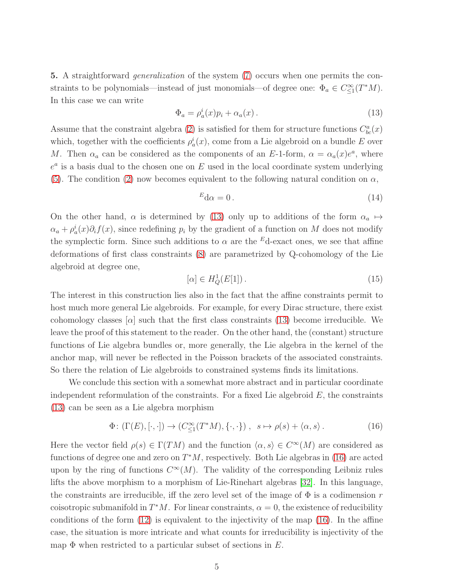5. A straightforward *generalization* of the system [\(7\)](#page-3-1) occurs when one permits the constraints to be polynomials—instead of just monomials—of degree one:  $\Phi_a \in C^{\infty}_{\leq 1}(T^*M)$ . In this case we can write

<span id="page-5-0"></span>
$$
\Phi_a = \rho_a^i(x)p_i + \alpha_a(x). \tag{13}
$$

Assume that the constraint algebra [\(2\)](#page-1-1) is satisfied for them for structure functions  $C_{bc}^{a}(x)$ which, together with the coefficients  $\rho_a^i(x)$ , come from a Lie algebroid on a bundle E over M. Then  $\alpha_a$  can be considered as the components of an E-1-form,  $\alpha = \alpha_a(x)e^a$ , where  $e^a$  is a basis dual to the chosen one on E used in the local coordinate system underlying [\(5\)](#page-2-0). The condition [\(2\)](#page-1-1) now becomes equivalent to the following natural condition on  $\alpha$ ,

$$
{}^{E}d\alpha = 0. \tag{14}
$$

On the other hand,  $\alpha$  is determined by [\(13\)](#page-5-0) only up to additions of the form  $\alpha_a \mapsto$  $\alpha_a + \rho_a^i(x)\partial_i f(x)$ , since redefining  $p_i$  by the gradient of a function on M does not modify the symplectic form. Since such additions to  $\alpha$  are the <sup>E</sup>d-exact ones, we see that affine deformations of first class constraints [\(8\)](#page-3-0) are parametrized by Q-cohomology of the Lie algebroid at degree one,

$$
[\alpha] \in H_Q^1(E[1]). \tag{15}
$$

The interest in this construction lies also in the fact that the affine constraints permit to host much more general Lie algebroids. For example, for every Dirac structure, there exist cohomology classes  $\alpha$  such that the first class constraints [\(13\)](#page-5-0) become irreducible. We leave the proof of this statement to the reader. On the other hand, the (constant) structure functions of Lie algebra bundles or, more generally, the Lie algebra in the kernel of the anchor map, will never be reflected in the Poisson brackets of the associated constraints. So there the relation of Lie algebroids to constrained systems finds its limitations.

We conclude this section with a somewhat more abstract and in particular coordinate independent reformulation of the constraints. For a fixed Lie algebroid  $E$ , the constraints [\(13\)](#page-5-0) can be seen as a Lie algebra morphism

<span id="page-5-1"></span>
$$
\Phi\colon (\Gamma(E), [\cdot, \cdot]) \to (C^{\infty}_{\leq 1}(T^*M), \{\cdot, \cdot\}), \quad s \mapsto \rho(s) + \langle \alpha, s \rangle. \tag{16}
$$

Here the vector field  $\rho(s) \in \Gamma(TM)$  and the function  $\langle \alpha, s \rangle \in C^{\infty}(M)$  are considered as functions of degree one and zero on  $T^*M$ , respectively. Both Lie algebras in [\(16\)](#page-5-1) are acted upon by the ring of functions  $C^{\infty}(M)$ . The validity of the corresponding Leibniz rules lifts the above morphism to a morphism of Lie-Rinehart algebras [\[32\]](#page-14-4). In this language, the constraints are irreducible, iff the zero level set of the image of  $\Phi$  is a codimension r coisotropic submanifold in  $T^*M$ . For linear constraints,  $\alpha = 0$ , the existence of reducibility conditions of the form [\(12\)](#page-4-0) is equivalent to the injectivity of the map [\(16\)](#page-5-1). In the affine case, the situation is more intricate and what counts for irreducibility is injectivity of the map  $\Phi$  when restricted to a particular subset of sections in E.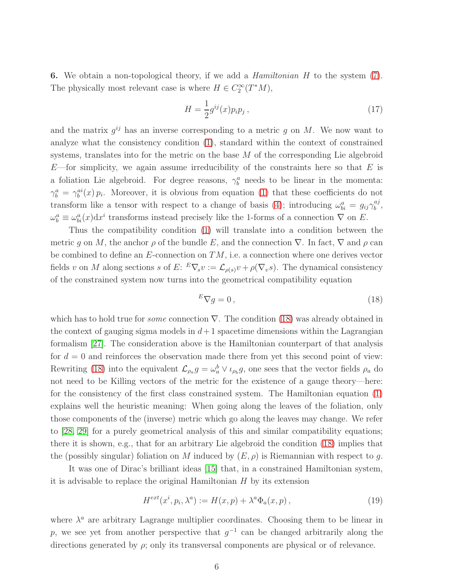**6.** We obtain a non-topological theory, if we add a *Hamiltonian H* to the system [\(7\)](#page-3-1). The physically most relevant case is where  $H \in C_2^{\infty}(T^*M)$ ,

<span id="page-6-1"></span>
$$
H = \frac{1}{2}g^{ij}(x)p_i p_j , \qquad (17)
$$

and the matrix  $g^{ij}$  has an inverse corresponding to a metric g on M. We now want to analyze what the consistency condition [\(1\)](#page-1-0), standard within the context of constrained systems, translates into for the metric on the base M of the corresponding Lie algebroid  $E$ —for simplicity, we again assume irreducibility of the constraints here so that E is a foliation Lie algebroid. For degree reasons,  $\gamma_b^a$  needs to be linear in the momenta:  $\gamma_b^a = \gamma_b^{ai}(x) p_i$ . Moreover, it is obvious from equation [\(1\)](#page-1-0) that these coefficients do not transform like a tensor with respect to a change of basis [\(4\)](#page-1-2); introducing  $\omega_{bi}^a = g_{ij} \gamma_b^{aj}$  $_{b}^{aj}$ ,  $\omega_b^a \equiv \omega_{bi}^a(x) dx^i$  transforms instead precisely like the 1-forms of a connection  $\nabla$  on E.

Thus the compatibility condition [\(1\)](#page-1-0) will translate into a condition between the metric q on M, the anchor  $\rho$  of the bundle E, and the connection  $\nabla$ . In fact,  $\nabla$  and  $\rho$  can be combined to define an  $E$ -connection on  $TM$ , i.e. a connection where one derives vector fields v on M along sections s of E:  $^E\nabla_s v := \mathcal{L}_{\rho(s)}v + \rho(\nabla_v s)$ . The dynamical consistency of the constrained system now turns into the geometrical compatibility equation

<span id="page-6-0"></span>
$$
{}^{E}\nabla g = 0, \qquad (18)
$$

which has to hold true for *some* connection  $\nabla$ . The condition [\(18\)](#page-6-0) was already obtained in the context of gauging sigma models in  $d+1$  spacetime dimensions within the Lagrangian formalism [\[27\]](#page-14-5). The consideration above is the Hamiltonian counterpart of that analysis for  $d = 0$  and reinforces the observation made there from yet this second point of view: Rewriting [\(18\)](#page-6-0) into the equivalent  $\mathcal{L}_{\rho_a}g=\omega_a^b\vee\iota_{\rho_b}g$ , one sees that the vector fields  $\rho_a$  do not need to be Killing vectors of the metric for the existence of a gauge theory—here: for the consistency of the first class constrained system. The Hamiltonian equation [\(1\)](#page-1-0) explains well the heuristic meaning: When going along the leaves of the foliation, only those components of the (inverse) metric which go along the leaves may change. We refer to [\[28,](#page-14-6) [29\]](#page-14-7) for a purely geometrical analysis of this and similar compatibility equations; there it is shown, e.g., that for an arbitrary Lie algebroid the condition [\(18\)](#page-6-0) implies that the (possibly singular) foliation on M induced by  $(E, \rho)$  is Riemannian with respect to g.

It was one of Dirac's brilliant ideas [\[15\]](#page-13-0) that, in a constrained Hamiltonian system, it is advisable to replace the original Hamiltonian  $H$  by its extension

$$
H^{ext}(x^i, p_i, \lambda^a) := H(x, p) + \lambda^a \Phi_a(x, p), \qquad (19)
$$

where  $\lambda^a$  are arbitrary Lagrange multiplier coordinates. Choosing them to be linear in p, we see yet from another perspective that  $g^{-1}$  can be changed arbitrarily along the directions generated by  $\rho$ ; only its transversal components are physical or of relevance.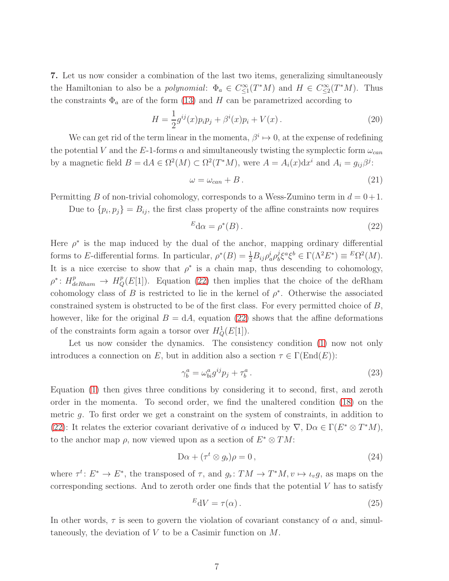7. Let us now consider a combination of the last two items, generalizing simultaneously the Hamiltonian to also be a *polynomial*:  $\Phi_a \in C^{\infty}_{\leq 1}(T^*M)$  and  $H \in C^{\infty}_{\leq 2}(T^*M)$ . Thus the constraints  $\Phi_a$  are of the form [\(13\)](#page-5-0) and H can be parametrized according to

<span id="page-7-1"></span>
$$
H = \frac{1}{2}g^{ij}(x)p_i p_j + \beta^i(x)p_i + V(x).
$$
 (20)

We can get rid of the term linear in the momenta,  $\beta^i \mapsto 0$ , at the expense of redefining the potential V and the E-1-forms  $\alpha$  and simultaneously twisting the symplectic form  $\omega_{can}$ by a magnetic field  $B = dA \in \Omega^2(M) \subset \Omega^2(T^*M)$ , were  $A = A_i(x)dx^i$  and  $A_i = g_{ij}\beta^j$ :

$$
\omega = \omega_{can} + B. \tag{21}
$$

Permitting B of non-trivial cohomology, corresponds to a Wess-Zumino term in  $d = 0+1$ .

Due to  $\{p_i, p_j\} = B_{ij}$ , the first class property of the affine constraints now requires

<span id="page-7-0"></span>
$$
{}^{E} \mathbf{d}\alpha = \rho^*(B). \tag{22}
$$

Here  $\rho^*$  is the map induced by the dual of the anchor, mapping ordinary differential forms to E-differential forms. In particular,  $\rho^*(B) = \frac{1}{2} B_{ij} \rho_a^i \rho_b^j$  $\int_{b}^{j} \xi^{a} \xi^{b} \in \Gamma(\Lambda^{2} E^{*}) \equiv E\Omega^{2}(M).$ It is a nice exercise to show that  $\rho^*$  is a chain map, thus descending to cohomology,  $\rho^* \colon H^p_{deRham} \to H^p_Q(E[1])$ . Equation [\(22\)](#page-7-0) then implies that the choice of the deRham cohomology class of B is restricted to lie in the kernel of  $\rho^*$ . Otherwise the associated constrained system is obstructed to be of the first class. For every permitted choice of B, however, like for the original  $B = dA$ , equation [\(22\)](#page-7-0) shows that the affine deformations of the constraints form again a torsor over  $H_Q^1(E[1])$ .

Let us now consider the dynamics. The consistency condition [\(1\)](#page-1-0) now not only introduces a connection on E, but in addition also a section  $\tau \in \Gamma(\text{End}(E))$ :

$$
\gamma_b^a = \omega_{bi}^a g^{ij} p_j + \tau_b^a \,. \tag{23}
$$

Equation [\(1\)](#page-1-0) then gives three conditions by considering it to second, first, and zeroth order in the momenta. To second order, we find the unaltered condition [\(18\)](#page-6-0) on the metric g. To first order we get a constraint on the system of constraints, in addition to [\(22\)](#page-7-0): It relates the exterior covariant derivative of  $\alpha$  induced by  $\nabla$ ,  $D\alpha \in \Gamma(E^* \otimes T^*M)$ , to the anchor map  $\rho$ , now viewed upon as a section of  $E^* \otimes TM$ :

$$
D\alpha + (\tau^t \otimes g_b)\rho = 0, \qquad (24)
$$

where  $\tau^t: E^* \to E^*$ , the transposed of  $\tau$ , and  $g_{\flat}: TM \to T^*M, v \mapsto \iota_v g$ , as maps on the corresponding sections. And to zeroth order one finds that the potential  $V$  has to satisfy

$$
{}^{E}dV = \tau(\alpha). \tag{25}
$$

In other words,  $\tau$  is seen to govern the violation of covariant constancy of  $\alpha$  and, simultaneously, the deviation of  $V$  to be a Casimir function on  $M$ .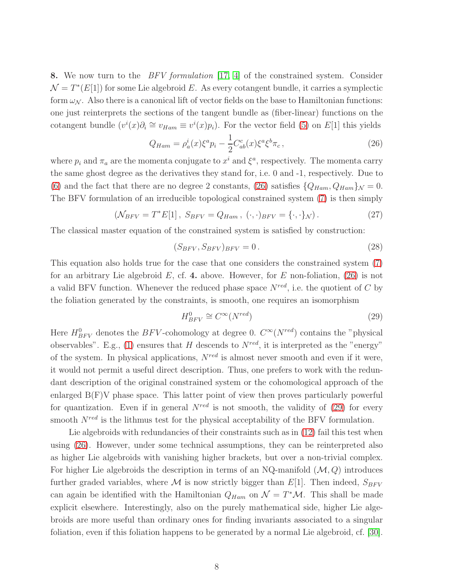8. We now turn to the *BFV formulation* [\[17,](#page-13-2) [4\]](#page-12-0) of the constrained system. Consider  $\mathcal{N} = T^*(E[1])$  for some Lie algebroid E. As every cotangent bundle, it carries a symplectic form  $\omega_{\mathcal{N}}$ . Also there is a canonical lift of vector fields on the base to Hamiltonian functions: one just reinterprets the sections of the tangent bundle as (fiber-linear) functions on the cotangent bundle  $(v^{i}(x)\partial_{i} \cong v_{Ham} \equiv v^{i}(x)p_{i}).$  For the vector field [\(5\)](#page-2-0) on E[1] this yields

<span id="page-8-0"></span>
$$
Q_{Ham} = \rho_a^i(x)\xi^a p_i - \frac{1}{2}C_{ab}^c(x)\xi^a \xi^b \pi_c,
$$
 (26)

where  $p_i$  and  $\pi_a$  are the momenta conjugate to  $x^i$  and  $\xi^a$ , respectively. The momenta carry the same ghost degree as the derivatives they stand for, i.e. 0 and -1, respectively. Due to [\(6\)](#page-2-1) and the fact that there are no degree 2 constants, [\(26\)](#page-8-0) satisfies  $\{Q_{Ham}, Q_{Ham}\}_\mathcal{N} = 0.$ The BFV formulation of an irreducible topological constrained system [\(7\)](#page-3-1) is then simply

<span id="page-8-2"></span>
$$
\left(\mathcal{N}_{BFV} = T^*E[1], \ S_{BFV} = Q_{Ham}, \ (\cdot, \cdot)_{BFV} = \{\cdot, \cdot\}_{\mathcal{N}}\right). \tag{27}
$$

The classical master equation of the constrained system is satisfied by construction:

<span id="page-8-3"></span>
$$
(S_{BFV}, S_{BFV})_{BFV} = 0.
$$
\n
$$
(28)
$$

This equation also holds true for the case that one considers the constrained system [\(7\)](#page-3-1) for an arbitrary Lie algebroid  $E$ , cf. 4. above. However, for E non-foliation, [\(26\)](#page-8-0) is not a valid BFV function. Whenever the reduced phase space  $N^{red}$ , i.e. the quotient of C by the foliation generated by the constraints, is smooth, one requires an isomorphism

<span id="page-8-1"></span>
$$
H_{BFV}^{0} \cong C^{\infty}(N^{red})
$$
\n(29)

Here  $H^0_{BFV}$  denotes the BFV-cohomology at degree 0.  $C^{\infty}(N^{red})$  contains the "physical observables". E.g., [\(1\)](#page-1-0) ensures that H descends to  $N^{red}$ , it is interpreted as the "energy" of the system. In physical applications,  $N^{red}$  is almost never smooth and even if it were, it would not permit a useful direct description. Thus, one prefers to work with the redundant description of the original constrained system or the cohomological approach of the enlarged  $B(F)V$  phase space. This latter point of view then proves particularly powerful for quantization. Even if in general  $N^{red}$  is not smooth, the validity of [\(29\)](#page-8-1) for every smooth  $N^{red}$  is the lithmus test for the physical acceptability of the BFV formulation.

Lie algebroids with redundancies of their constraints such as in  $(12)$  fail this test when using [\(26\)](#page-8-0). However, under some technical assumptions, they can be reinterpreted also as higher Lie algebroids with vanishing higher brackets, but over a non-trivial complex. For higher Lie algebroids the description in terms of an NQ-manifold  $(M, Q)$  introduces further graded variables, where M is now strictly bigger than  $E[1]$ . Then indeed,  $S_{BFV}$ can again be identified with the Hamiltonian  $Q_{Ham}$  on  $\mathcal{N} = T^*\mathcal{M}$ . This shall be made explicit elsewhere. Interestingly, also on the purely mathematical side, higher Lie algebroids are more useful than ordinary ones for finding invariants associated to a singular foliation, even if this foliation happens to be generated by a normal Lie algebroid, cf. [\[30\]](#page-14-3).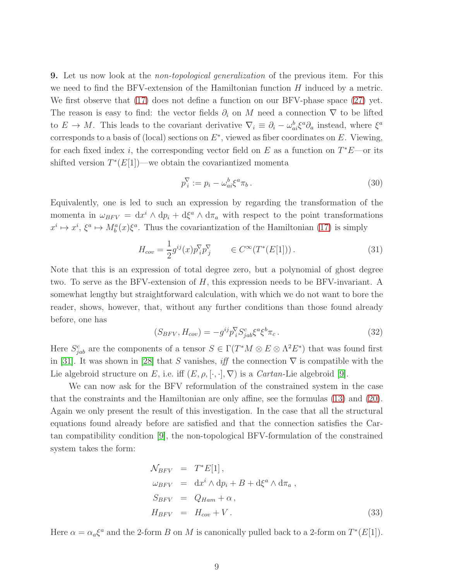**9.** Let us now look at the *non-topological generalization* of the previous item. For this we need to find the BFV-extension of the Hamiltonian function H induced by a metric. We first observe that [\(17\)](#page-6-1) does not define a function on our BFV-phase space [\(27\)](#page-8-2) yet. The reason is easy to find: the vector fields  $\partial_i$  on M need a connection  $\nabla$  to be lifted to  $E \to M$ . This leads to the covariant derivative  $\nabla_i \equiv \partial_i - \omega_{ai}^b \xi^a \partial_a$  instead, where  $\xi^a$ corresponds to a basis of (local) sections on  $E^*$ , viewed as fiber coordinates on E. Viewing, for each fixed index *i*, the corresponding vector field on  $E$  as a function on  $T^*E$ —or its shifted version  $T^*(E[1])$ —we obtain the covariantized momenta

$$
p_i^{\nabla} := p_i - \omega_{ai}^b \xi^a \pi_b \,. \tag{30}
$$

Equivalently, one is led to such an expression by regarding the transformation of the momenta in  $\omega_{BFV} = dx^i \wedge dp_i + d\xi^a \wedge d\pi_a$  with respect to the point transformations  $x^i \mapsto x^i$ ,  $\xi^a \mapsto M_b^a(x)\xi^a$ . Thus the covariantization of the Hamiltonian [\(17\)](#page-6-1) is simply

$$
H_{cov} = \frac{1}{2} g^{ij}(x) p_i^{\nabla} p_j^{\nabla} \qquad \in C^{\infty}(T^*(E[1]))\,. \tag{31}
$$

Note that this is an expression of total degree zero, but a polynomial of ghost degree two. To serve as the BFV-extension of H, this expression needs to be BFV-invariant. A somewhat lengthy but straightforward calculation, with which we do not want to bore the reader, shows, however, that, without any further conditions than those found already before, one has

$$
(S_{BFV}, H_{cov}) = -g^{ij}p_i^{\nabla} S^c_{jab} \xi^a \xi^b \pi_c.
$$
 (32)

Here  $S^c_{jab}$  are the components of a tensor  $S \in \Gamma(T^*M \otimes E \otimes \Lambda^2 E^*)$  that was found first in [\[31\]](#page-14-8). It was shown in [\[28\]](#page-14-6) that S vanishes, iff the connection  $\nabla$  is compatible with the Lie algebroid structure on E, i.e. iff  $(E, \rho, [\cdot, \cdot], \nabla)$  is a *Cartan*-Lie algebroid [\[9\]](#page-13-3).

We can now ask for the BFV reformulation of the constrained system in the case that the constraints and the Hamiltonian are only affine, see the formulas [\(13\)](#page-5-0) and [\(20\)](#page-7-1). Again we only present the result of this investigation. In the case that all the structural equations found already before are satisfied and that the connection satisfies the Cartan compatibility condition [\[9\]](#page-13-3), the non-topological BFV-formulation of the constrained system takes the form:

<span id="page-9-0"></span>
$$
\mathcal{N}_{BFV} = T^*E[1],
$$
  
\n
$$
\omega_{BFV} = dx^i \wedge dp_i + B + d\xi^a \wedge d\pi_a,
$$
  
\n
$$
S_{BFV} = Q_{Ham} + \alpha,
$$
  
\n
$$
H_{BFV} = H_{cov} + V.
$$
\n(33)

Here  $\alpha = \alpha_a \xi^a$  and the 2-form B on M is canonically pulled back to a 2-form on  $T^*(E[1])$ .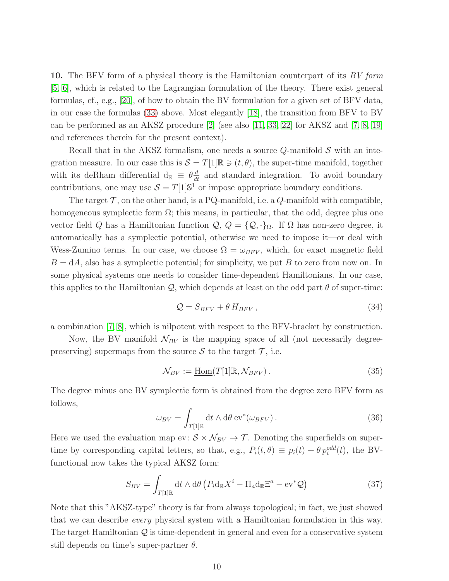10. The BFV form of a physical theory is the Hamiltonian counterpart of its BV form [\[5,](#page-12-1) [6\]](#page-12-2), which is related to the Lagrangian formulation of the theory. There exist general formulas, cf., e.g., [\[20\]](#page-13-1), of how to obtain the BV formulation for a given set of BFV data, in our case the formulas [\(33\)](#page-9-0) above. Most elegantly [\[18\]](#page-13-4), the transition from BFV to BV can be performed as an AKSZ procedure  $[2]$  (see also  $[11, 33, 22]$  $[11, 33, 22]$  $[11, 33, 22]$  for AKSZ and  $[7, 8, 19]$  $[7, 8, 19]$  $[7, 8, 19]$ ) and references therein for the present context).

Recall that in the AKSZ formalism, one needs a source  $Q$ -manifold  $S$  with an integration measure. In our case this is  $S = T[1]\mathbb{R} \ni (t, \theta)$ , the super-time manifold, together with its deRham differential  $d_{\mathbb{R}} \equiv \theta \frac{d}{dt}$  and standard integration. To avoid boundary contributions, one may use  $S = T[1] \mathbb{S}^1$  or impose appropriate boundary conditions.

The target  $\mathcal T$ , on the other hand, is a PQ-manifold, i.e. a  $Q$ -manifold with compatible, homogeneous symplectic form  $\Omega$ ; this means, in particular, that the odd, degree plus one vector field Q has a Hamiltonian function  $\mathcal{Q}, Q = \{Q, \cdot\}_\Omega$ . If  $\Omega$  has non-zero degree, it automatically has a symplectic potential, otherwise we need to impose it—or deal with Wess-Zumino terms. In our case, we choose  $\Omega = \omega_{BFV}$ , which, for exact magnetic field  $B = dA$ , also has a symplectic potential; for simplicity, we put B to zero from now on. In some physical systems one needs to consider time-dependent Hamiltonians. In our case, this applies to the Hamiltonian  $\mathcal{Q}$ , which depends at least on the odd part  $\theta$  of super-time:

$$
\mathcal{Q} = S_{BFV} + \theta \, H_{BFV} \,, \tag{34}
$$

a combination [\[7,](#page-12-4) [8\]](#page-13-7), which is nilpotent with respect to the BFV-bracket by construction.

Now, the BV manifold  $\mathcal{N}_{BV}$  is the mapping space of all (not necessarily degreepreserving) supermaps from the source S to the target  $\mathcal{T}$ , i.e.

$$
\mathcal{N}_{BV} := \underline{\text{Hom}}(T[1]\mathbb{R}, \mathcal{N}_{BFV}).
$$
\n(35)

The degree minus one BV symplectic form is obtained from the degree zero BFV form as follows,

$$
\omega_{BV} = \int_{T[1]\mathbb{R}} dt \wedge d\theta \, \text{ev}^*(\omega_{BFV}). \tag{36}
$$

Here we used the evaluation map ev:  $S \times N_{BV} \rightarrow \mathcal{T}$ . Denoting the superfields on supertime by corresponding capital letters, so that, e.g.,  $P_i(t, \theta) \equiv p_i(t) + \theta p_i^{odd}(t)$ , the BVfunctional now takes the typical AKSZ form:

$$
S_{BV} = \int_{T[1]\mathbb{R}} \mathrm{d}t \wedge \mathrm{d}\theta \left( P_i \mathrm{d}_{\mathbb{R}} X^i - \Pi_a \mathrm{d}_{\mathbb{R}} \Xi^a - \mathrm{ev}^* \mathcal{Q} \right) \tag{37}
$$

Note that this "AKSZ-type" theory is far from always topological; in fact, we just showed that we can describe every physical system with a Hamiltonian formulation in this way. The target Hamiltonian  $\mathcal{Q}$  is time-dependent in general and even for a conservative system still depends on time's super-partner  $\theta$ .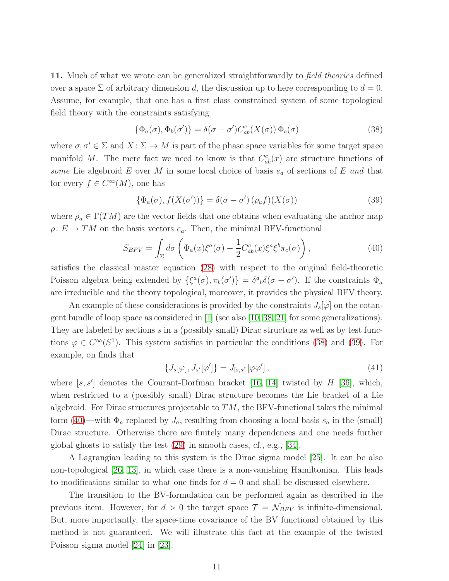11. Much of what we wrote can be generalized straightforwardly to *field theories* defined over a space  $\Sigma$  of arbitrary dimension d, the discussion up to here corresponding to  $d = 0$ . Assume, for example, that one has a first class constrained system of some topological field theory with the constraints satisfying

<span id="page-11-0"></span>
$$
\{\Phi_a(\sigma), \Phi_b(\sigma')\} = \delta(\sigma - \sigma')C_{ab}^c(X(\sigma))\Phi_c(\sigma)
$$
\n(38)

where  $\sigma, \sigma' \in \Sigma$  and  $X : \Sigma \to M$  is part of the phase space variables for some target space manifold M. The mere fact we need to know is that  $C_{ab}^c(x)$  are structure functions of some Lie algebroid E over M in some local choice of basis  $e_a$  of sections of E and that for every  $f \in C^{\infty}(M)$ , one has

<span id="page-11-1"></span>
$$
\{\Phi_a(\sigma), f(X(\sigma'))\} = \delta(\sigma - \sigma')\left(\rho_a f\right)(X(\sigma))\tag{39}
$$

where  $\rho_a \in \Gamma(TM)$  are the vector fields that one obtains when evaluating the anchor map  $\rho: E \to TM$  on the basis vectors  $e_a$ . Then, the minimal BFV-functional

<span id="page-11-2"></span>
$$
S_{BFV} = \int_{\Sigma} d\sigma \left( \Phi_a(x) \xi^a(\sigma) - \frac{1}{2} C_{ab}^c(x) \xi^a \xi^b \pi_c(\sigma) \right), \tag{40}
$$

satisfies the classical master equation [\(28\)](#page-8-3) with respect to the original field-theoretic Poisson algebra being extended by  $\{\xi^a(\sigma), \pi_b(\sigma')\} = \delta^a{}_b \delta(\sigma - \sigma')$ . If the constraints  $\Phi_a$ are irreducible and the theory topological, moreover, it provides the physical BFV theory.

An example of these considerations is provided by the constraints  $J_s[\varphi]$  on the cotangent bundle of loop space as considered in [\[1\]](#page-12-5) (see also [\[10,](#page-13-9) [38,](#page-14-10) [21\]](#page-13-10) for some generalizations). They are labeled by sections  $s$  in a (possibly small) Dirac structure as well as by test functions  $\varphi \in C^{\infty}(S^1)$ . This system satisfies in particular the conditions [\(38\)](#page-11-0) and [\(39\)](#page-11-1). For example, on finds that

$$
\{J_s[\varphi], J_{s'}[\varphi']\} = J_{[s,s']}[\varphi\varphi'],\tag{41}
$$

where  $[s, s']$  denotes the Courant-Dorfman bracket [\[16,](#page-13-11) [14\]](#page-13-12) twisted by  $H$  [\[36\]](#page-14-2), which, when restricted to a (possibly small) Dirac structure becomes the Lie bracket of a Lie algebroid. For Dirac structures projectable to  $TM$ , the BFV-functional takes the minimal form [\(40\)](#page-11-2)—with  $\Phi_a$  replaced by  $J_a$ , resulting from choosing a local basis  $s_a$  in the (small) Dirac structure. Otherwise there are finitely many dependences and one needs further global ghosts to satisfy the test [\(29\)](#page-8-1) in smooth cases, cf., e.g., [\[34\]](#page-14-11).

A Lagrangian leading to this system is the Dirac sigma model [\[25\]](#page-14-12). It can be also non-topological [\[26,](#page-14-13) [13\]](#page-13-13), in which case there is a non-vanishing Hamiltonian. This leads to modifications similar to what one finds for  $d = 0$  and shall be discussed elsewhere.

The transition to the BV-formulation can be performed again as described in the previous item. However, for  $d > 0$  the target space  $\mathcal{T} = \mathcal{N}_{BFV}$  is infinite-dimensional. But, more importantly, the space-time covariance of the BV functional obtained by this method is not guaranteed. We will illustrate this fact at the example of the twisted Poisson sigma model [\[24\]](#page-14-14) in [\[23\]](#page-14-15).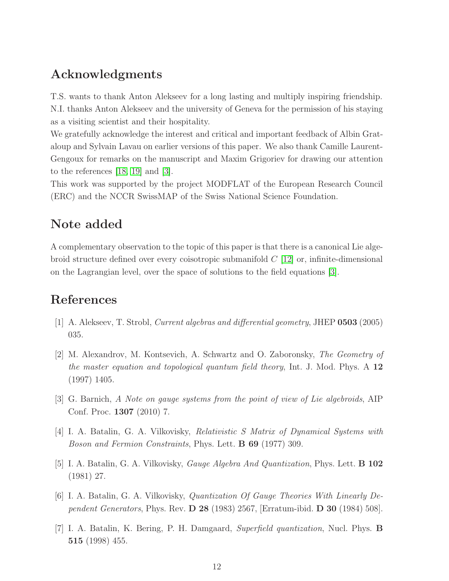### Acknowledgments

T.S. wants to thank Anton Alekseev for a long lasting and multiply inspiring friendship. N.I. thanks Anton Alekseev and the university of Geneva for the permission of his staying as a visiting scientist and their hospitality.

We gratefully acknowledge the interest and critical and important feedback of Albin Grataloup and Sylvain Lavau on earlier versions of this paper. We also thank Camille Laurent-Gengoux for remarks on the manuscript and Maxim Grigoriev for drawing our attention to the references [\[18,](#page-13-4) [19\]](#page-13-8) and [\[3\]](#page-12-6).

This work was supported by the project MODFLAT of the European Research Council (ERC) and the NCCR SwissMAP of the Swiss National Science Foundation.

# Note added

A complementary observation to the topic of this paper is that there is a canonical Lie algebroid structure defined over every coisotropic submanifold  $C$  [\[12\]](#page-13-14) or, infinite-dimensional on the Lagrangian level, over the space of solutions to the field equations [\[3\]](#page-12-6).

## <span id="page-12-5"></span>References

- <span id="page-12-3"></span>[1] A. Alekseev, T. Strobl, Current algebras and differential geometry, JHEP 0503 (2005) 035.
- [2] M. Alexandrov, M. Kontsevich, A. Schwartz and O. Zaboronsky, The Geometry of the master equation and topological quantum field theory, Int. J. Mod. Phys. A  $12$ (1997) 1405.
- <span id="page-12-6"></span><span id="page-12-0"></span>[3] G. Barnich, A Note on gauge systems from the point of view of Lie algebroids, AIP Conf. Proc. 1307 (2010) 7.
- <span id="page-12-1"></span>[4] I. A. Batalin, G. A. Vilkovisky, Relativistic S Matrix of Dynamical Systems with Boson and Fermion Constraints, Phys. Lett. B 69 (1977) 309.
- <span id="page-12-2"></span>[5] I. A. Batalin, G. A. Vilkovisky, Gauge Algebra And Quantization, Phys. Lett. B 102 (1981) 27.
- <span id="page-12-4"></span>[6] I. A. Batalin, G. A. Vilkovisky, Quantization Of Gauge Theories With Linearly Dependent Generators, Phys. Rev.  $D$  28 (1983) 2567, [Erratum-ibid.  $D$  30 (1984) 508].
- [7] I. A. Batalin, K. Bering, P. H. Damgaard, Superfield quantization, Nucl. Phys. B 515 (1998) 455.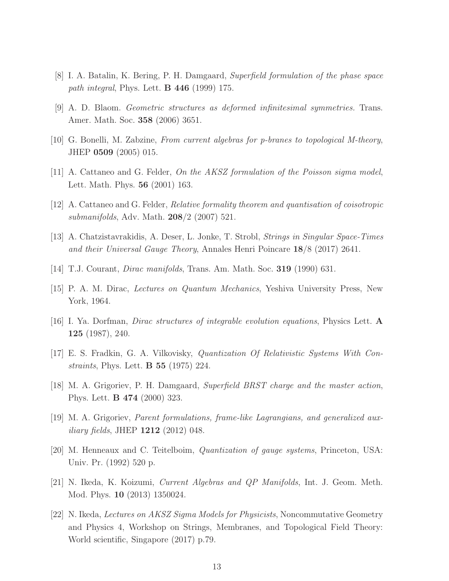- <span id="page-13-7"></span><span id="page-13-3"></span>[8] I. A. Batalin, K. Bering, P. H. Damgaard, Superfield formulation of the phase space path integral, Phys. Lett. B 446 (1999) 175.
- <span id="page-13-9"></span>[9] A. D. Blaom. Geometric structures as deformed infinitesimal symmetries. Trans. Amer. Math. Soc. 358 (2006) 3651.
- <span id="page-13-5"></span>[10] G. Bonelli, M. Zabzine, From current algebras for p-branes to topological M-theory, JHEP 0509 (2005) 015.
- <span id="page-13-14"></span> $[11]$  A. Cattaneo and G. Felder, On the AKSZ formulation of the Poisson sigma model, Lett. Math. Phys. 56 (2001) 163.
- <span id="page-13-13"></span>[12] A. Cattaneo and G. Felder, Relative formality theorem and quantisation of coisotropic submanifolds, Adv. Math. 208/2 (2007) 521.
- <span id="page-13-12"></span>[13] A. Chatzistavrakidis, A. Deser, L. Jonke, T. Strobl, Strings in Singular Space-Times and their Universal Gauge Theory, Annales Henri Poincare 18/8 (2017) 2641.
- <span id="page-13-0"></span>[14] T.J. Courant, Dirac manifolds, Trans. Am. Math. Soc. 319 (1990) 631.
- <span id="page-13-11"></span>[15] P. A. M. Dirac, Lectures on Quantum Mechanics, Yeshiva University Press, New York, 1964.
- <span id="page-13-2"></span>[16] I. Ya. Dorfman, *Dirac structures of integrable evolution equations*, Physics Lett.  $\bf{A}$ 125 (1987), 240.
- <span id="page-13-4"></span>[17] E. S. Fradkin, G. A. Vilkovisky, Quantization Of Relativistic Systems With Constraints, Phys. Lett. B 55 (1975) 224.
- <span id="page-13-8"></span>[18] M. A. Grigoriev, P. H. Damgaard, Superfield BRST charge and the master action, Phys. Lett. B 474 (2000) 323.
- <span id="page-13-1"></span>[19] M. A. Grigoriev, Parent formulations, frame-like Lagrangians, and generalized aux*iliary fields*, JHEP  $1212 (2012) 048$ .
- <span id="page-13-10"></span>[20] M. Henneaux and C. Teitelboim, Quantization of gauge systems, Princeton, USA: Univ. Pr. (1992) 520 p.
- <span id="page-13-6"></span>[21] N. Ikeda, K. Koizumi, Current Algebras and QP Manifolds, Int. J. Geom. Meth. Mod. Phys. 10 (2013) 1350024.
- [22] N. Ikeda, Lectures on AKSZ Sigma Models for Physicists, Noncommutative Geometry and Physics 4, Workshop on Strings, Membranes, and Topological Field Theory: World scientific, Singapore (2017) p.79.